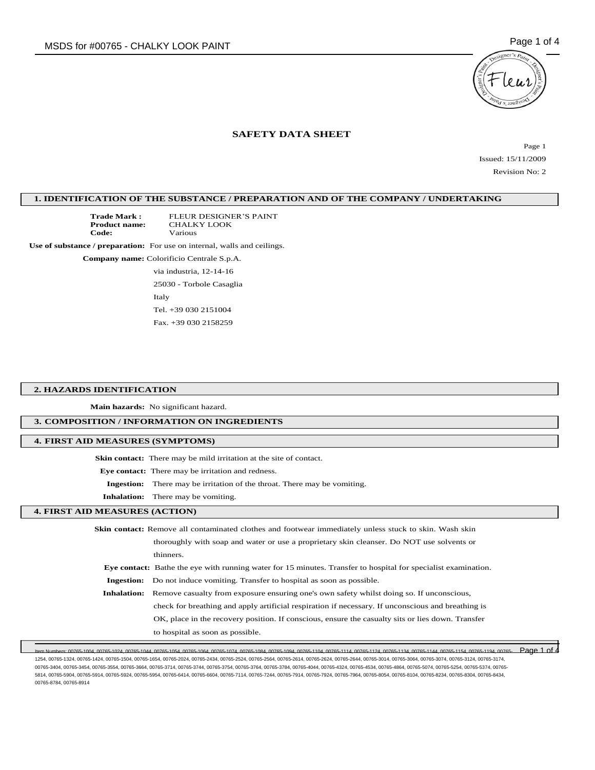

# **SAFETY DATA SHEET**

Page 1 Issued: 15/11/2009 Revision No: 2

# **1. IDENTIFICATION OF THE SUBSTANCE / PREPARATION AND OF THE COMPANY / UNDERTAKING**

**Trade Mark :** FLEUR DESIGNER'S PAINT<br>**Product name:** CHALKY LOOK **Product name:** CHALKY LOOK **Code:** Various

**Use of substance / preparation:** For use on internal, walls and ceilings.

**Company name:** Colorificio Centrale S.p.A.

via industria, 12-14-16

25030 - Torbole Casaglia Italy Tel. +39 030 2151004

Fax. +39 030 2158259

### **2. HAZARDS IDENTIFICATION**

**Main hazards:** No significant hazard.

## **3. COMPOSITION / INFORMATION ON INGREDIENTS**

## **4. FIRST AID MEASURES (SYMPTOMS)**

**Skin contact:** There may be mild irritation at the site of contact.

**Eye contact:** There may be irritation and redness.

- **Ingestion:** There may be irritation of the throat. There may be vomiting.
- **Inhalation:** There may be vomiting.

## **4. FIRST AID MEASURES (ACTION)**

| <b>Skin contact:</b> Remove all contaminated clothes and footwear immediately unless stuck to skin. Wash skin |                                                                                                                       |  |
|---------------------------------------------------------------------------------------------------------------|-----------------------------------------------------------------------------------------------------------------------|--|
|                                                                                                               | thoroughly with soap and water or use a proprietary skin cleanser. Do NOT use solvents or                             |  |
|                                                                                                               | thinners.                                                                                                             |  |
|                                                                                                               | <b>Eve contact:</b> Bathe the eye with running water for 15 minutes. Transfer to hospital for specialist examination. |  |
|                                                                                                               | <b>Ingestion:</b> Do not induce vomiting. Transfer to hospital as soon as possible.                                   |  |
|                                                                                                               | <b>Inhalation:</b> Remove casualty from exposure ensuring one's own safety whilst doing so. If unconscious,           |  |
|                                                                                                               | check for breathing and apply artificial respiration if necessary. If unconscious and breathing is                    |  |
|                                                                                                               | OK, place in the recovery position. If conscious, ensure the casualty sits or lies down. Transfer                     |  |
|                                                                                                               | to hospital as soon as possible.                                                                                      |  |

Item Numbers: 00765-1004, 00765-1024, 00765-1044, 00765-1054, 00765-1064, 00765-1074, 00765-1084, 00765-1094, 00765-1104, 00765-1114, 00765-1124, 00765-1134, 00765-1144, 00765-1154, 00765-1194, 00765- Page 1 of 41254, 00765-1324, 00765-1424, 00765-1504, 00765-1654, 00765-2024, 00765-2434, 00765-2524, 00765-2564, 00765-2614, 00765-2624, 00765-2644, 00765-3014, 00765-3064, 00765-3074, 00765-3124, 00765-3174, 00765-3404, 00765-3454, 00765-3554, 00765-3664, 00765-3714, 00765-3744, 00765-3754, 00765-3764, 00765-3784, 00765-4044, 00765-4324, 00765-4534, 00765-4864, 00765-5074, 00765-5254, 00765-5374, 00765- 5814, 00765-5904, 00765-5914, 00765-5924, 00765-5954, 00765-6414, 00765-6604, 00765-7114, 00765-7244, 00765-7914, 00765-7924, 00765-7964, 00765-8054, 00765-8104, 00765-8234, 00765-8304, 00765-8434, 00765-8784, 00765-8914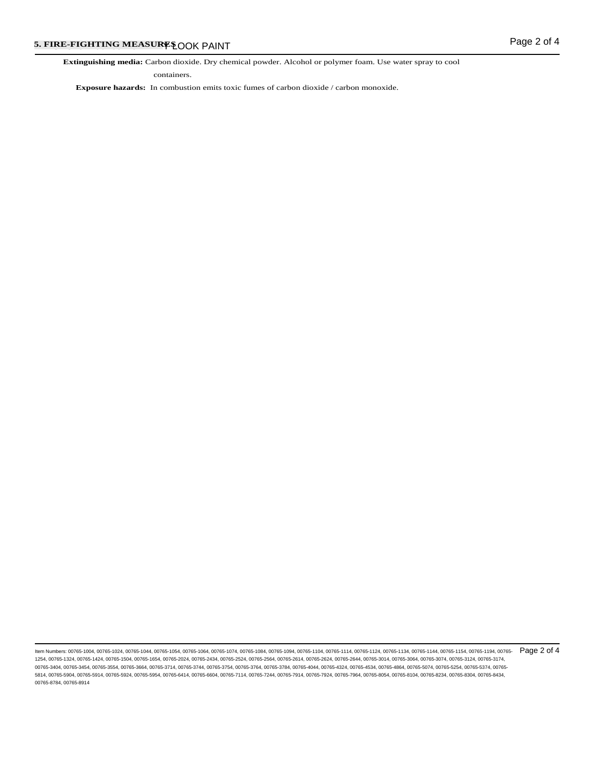**Extinguishing media:** Carbon dioxide. Dry chemical powder. Alcohol or polymer foam. Use water spray to cool

containers.

**Exposure hazards:** In combustion emits toxic fumes of carbon dioxide / carbon monoxide.

ltem Numbers: 00765-1004, 00765-1024, 00765-1044, 00765-1054, 00765-1064, 00765-1074, 00765-1084, 00765-1104, 00765-1114, 00765-1124, 00765-1124, 00765-1154, 00765-1154, 00765-1154, 00765-1194, 00765-1154, 00765-1154, 0076 1254, 00765-1324, 00765-1424, 00765-1504, 00765-1654, 00765-2024, 00765-2434, 00765-2524, 00765-2564, 00765-2614, 00765-2624, 00765-2644, 00765-3014, 00765-3064, 00765-3074, 00765-3124, 00765-3174, 00765-3404, 00765-3454, 00765-3554, 00765-3664, 00765-3714, 00765-3744, 00765-3754, 00765-3764, 00765-3784, 00765-4044, 00765-4324, 00765-4534, 00765-4864, 00765-5074, 00765-5254, 00765-5374, 00765- 5814, 00765-5904, 00765-5914, 00765-5924, 00765-5954, 00765-6414, 00765-6604, 00765-7114, 00765-7244, 00765-7914, 00765-7924, 00765-7964, 00765-8054, 00765-8104, 00765-8234, 00765-8304, 00765-8434, 00765-8784, 00765-8914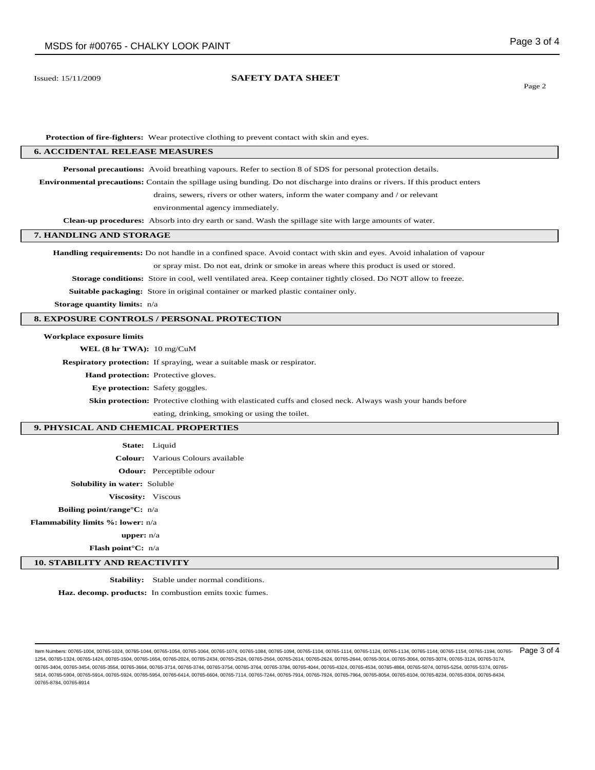## Issued: 15/11/2009 **SAFETY DATA SHEET**

Page 2

**Protection of fire-fighters:** Wear protective clothing to prevent contact with skin and eyes.

### **6. ACCIDENTAL RELEASE MEASURES**

**Personal precautions:** Avoid breathing vapours. Refer to section 8 of SDS for personal protection details.

**Environmental precautions:** Contain the spillage using bunding. Do not discharge into drains or rivers. If this product enters

drains, sewers, rivers or other waters, inform the water company and / or relevant

environmental agency immediately.

**Clean-up procedures:** Absorb into dry earth or sand. Wash the spillage site with large amounts of water.

## **7. HANDLING AND STORAGE**

**Handling requirements:** Do not handle in a confined space. Avoid contact with skin and eyes. Avoid inhalation of vapour

or spray mist. Do not eat, drink or smoke in areas where this product is used or stored.

**Storage conditions:** Store in cool, well ventilated area. Keep container tightly closed. Do NOT allow to freeze.

**Suitable packaging:** Store in original container or marked plastic container only.

**Storage quantity limits:** n/a

# **8. EXPOSURE CONTROLS / PERSONAL PROTECTION**

## **Workplace exposure limits**

**WEL (8 hr TWA):** 10 mg/CuM

**Respiratory protection:** If spraying, wear a suitable mask or respirator.

**Hand protection:** Protective gloves.

**Eye protection:** Safety goggles.

**Skin protection:** Protective clothing with elasticated cuffs and closed neck. Always wash your hands before

eating, drinking, smoking or using the toilet.

## **9. PHYSICAL AND CHEMICAL PROPERTIES**

|                          | <b>State:</b> Liquid                     |
|--------------------------|------------------------------------------|
|                          | <b>Colour:</b> Various Colours available |
|                          | <b>Odour:</b> Perceptible odour          |
| <b>1 water: S</b> oluble |                                          |

**Viscosity:** Viscous

### **Boiling point/range°C:** n/a

**Flammability limits %: lower:** n/a

**Solubility** in

#### **upper:** n/a

**Flash point°C:** n/a

## **10. STABILITY AND REACTIVITY**

**Stability:** Stable under normal conditions.

**Haz. decomp. products:** In combustion emits toxic fumes.

ltem Numbers: 00765-1004, 00765-1024, 00765-1044, 00765-1054, 00765-1064, 00765-1074, 00765-1084, 00765-1104, 00765-1114, 00765-1124, 00765-1124, 00765-1154, 00765-1154, 00765-1154, 00765-1194, 00765-1154, 00765-1154, 0076 1254, 00765-1324, 00765-1424, 00765-1504, 00765-1654, 00765-2024, 00765-2434, 00765-2524, 00765-2564, 00765-2614, 00765-2624, 00765-2644, 00765-3014, 00765-3064, 00765-3074, 00765-3124, 00765-3174, 00765-3404, 00765-3454, 00765-3554, 00765-3664, 00765-3714, 00765-3744, 00765-3754, 00765-3764, 00765-3784, 00765-4044, 00765-4324, 00765-4534, 00765-4864, 00765-5074, 00765-5254, 00765-5374, 00765- 5814, 00765-5904, 00765-5914, 00765-5924, 00765-5954, 00765-6414, 00765-6604, 00765-7114, 00765-7244, 00765-7914, 00765-7924, 00765-7964, 00765-8054, 00765-8104, 00765-8234, 00765-8304, 00765-8434, 00765-8784, 00765-8914